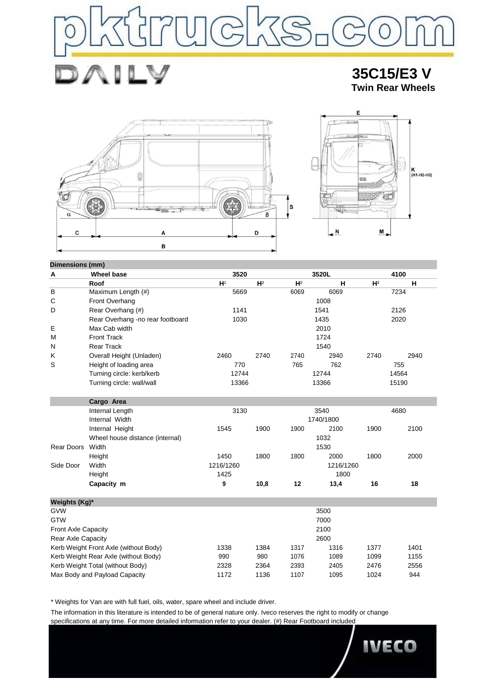

 **35C15/E3 V Twin Rear Wheels**



J

₽ D



| Dimensions (mm) |                                  |                           |                |                |           |                |       |  |
|-----------------|----------------------------------|---------------------------|----------------|----------------|-----------|----------------|-------|--|
| Α               | <b>Wheel base</b>                | 3520<br>3520L             |                | 4100           |           |                |       |  |
|                 | Roof                             | H <sup>1</sup>            | H <sup>2</sup> | H <sup>2</sup> | н         | H <sup>2</sup> | н     |  |
| B               | Maximum Length (#)               | 5669                      |                | 6069           | 6069      |                | 7234  |  |
| С               | Front Overhang                   |                           |                |                | 1008      |                |       |  |
| D               | Rear Overhang (#)                | 1141                      |                |                | 1541      |                | 2126  |  |
|                 | Rear Overhang -no rear footboard | 1030                      |                |                | 1435      |                | 2020  |  |
| Е               | Max Cab width                    |                           |                |                | 2010      |                |       |  |
| M               | <b>Front Track</b>               |                           |                |                | 1724      |                |       |  |
| N               | <b>Rear Track</b>                | 1540                      |                |                |           |                |       |  |
| Κ               | Overall Height (Unladen)         | 2460                      | 2740           | 2740           | 2940      | 2740           | 2940  |  |
| S               | Height of loading area           | 770                       |                | 765            | 762       |                | 755   |  |
|                 | Turning circle: kerb/kerb        | 12744                     |                |                | 12744     |                | 14564 |  |
|                 | Turning circle: wall/wall        | 13366                     |                |                | 13366     |                | 15190 |  |
|                 | Cargo Area                       |                           |                |                |           |                |       |  |
|                 | Internal Length                  | 3130<br>3540<br>1740/1800 |                |                |           |                | 4680  |  |
|                 | Internal Width                   |                           |                |                |           |                |       |  |
|                 | Internal Height                  | 1545                      | 1900           | 1900           | 2100      | 1900           | 2100  |  |
|                 | Wheel house distance (internal)  | 1032                      |                |                |           |                |       |  |
| Rear Doors      | Width                            |                           |                |                | 1530      |                |       |  |
|                 | Height                           | 1450                      | 1800           | 1800           | 2000      | 1800           | 2000  |  |
| Side Door       | Width                            | 1216/1260                 |                |                | 1216/1260 |                |       |  |
|                 | Height                           | 1425                      |                | 1800           |           |                |       |  |
|                 | Capacity m                       | 9                         | 10,8           | 12             | 13,4      | 16             | 18    |  |
| Waights (Kg)*   |                                  |                           |                |                |           |                |       |  |

| Weights (Kg)*                         |      |      |      |      |      |      |
|---------------------------------------|------|------|------|------|------|------|
| <b>GVW</b>                            |      |      |      | 3500 |      |      |
| <b>GTW</b>                            |      |      |      | 7000 |      |      |
| <b>Front Axle Capacity</b>            |      |      |      | 2100 |      |      |
| Rear Axle Capacity                    | 2600 |      |      |      |      |      |
| Kerb Weight Front Axle (without Body) | 1338 | 1384 | 1317 | 1316 | 1377 | 1401 |
| Kerb Weight Rear Axle (without Body)  | 990  | 980  | 1076 | 1089 | 1099 | 1155 |
| Kerb Weight Total (without Body)      | 2328 | 2364 | 2393 | 2405 | 2476 | 2556 |
| Max Body and Payload Capacity         | 1172 | 1136 | 1107 | 1095 | 1024 | 944  |

\* Weights for Van are with full fuel, oils, water, spare wheel and include driver.

The information in this literature is intended to be of general nature only. Iveco reserves the right to modify or change specifications at any time. For more detailed information refer to your dealer. (#) Rear Footboard included